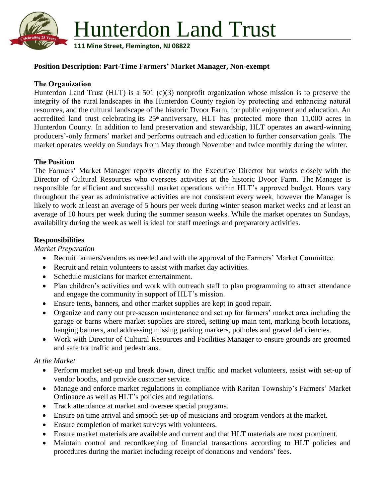

## **Position Description: Part-Time Farmers' Market Manager, Non-exempt**

## **The Organization**

Hunterdon Land Trust (HLT) is a 501 (c)(3) nonprofit organization whose mission is to preserve the integrity of the rural landscapes in the Hunterdon County region by protecting and enhancing natural resources, and the cultural landscape of the historic Dvoor Farm, for public enjoyment and education. An accredited land trust celebrating its  $25<sup>th</sup>$  anniversary, HLT has protected more than 11,000 acres in Hunterdon County. In addition to land preservation and stewardship, HLT operates an award-winning producers'-only farmers' market and performs outreach and education to further conservation goals. The market operates weekly on Sundays from May through November and twice monthly during the winter.

#### **The Position**

The Farmers' Market Manager reports directly to the Executive Director but works closely with the Director of Cultural Resources who oversees activities at the historic Dvoor Farm. The Manager is responsible for efficient and successful market operations within HLT's approved budget. Hours vary throughout the year as administrative activities are not consistent every week, however the Manager is likely to work at least an average of 5 hours per week during winter season market weeks and at least an average of 10 hours per week during the summer season weeks. While the market operates on Sundays, availability during the week as well is ideal for staff meetings and preparatory activities.

#### **Responsibilities**

*Market Preparation*

- Recruit farmers/vendors as needed and with the approval of the Farmers' Market Committee.
- Recruit and retain volunteers to assist with market day activities.
- Schedule musicians for market entertainment.
- Plan children's activities and work with outreach staff to plan programming to attract attendance and engage the community in support of HLT's mission.
- Ensure tents, banners, and other market supplies are kept in good repair.
- Organize and carry out pre-season maintenance and set up for farmers' market area including the garage or barns where market supplies are stored, setting up main tent, marking booth locations, hanging banners, and addressing missing parking markers, potholes and gravel deficiencies.
- Work with Director of Cultural Resources and Facilities Manager to ensure grounds are groomed and safe for traffic and pedestrians.

#### *At the Market*

- Perform market set-up and break down, direct traffic and market volunteers, assist with set-up of vendor booths, and provide customer service.
- Manage and enforce market regulations in compliance with Raritan Township's Farmers' Market Ordinance as well as HLT's policies and regulations.
- Track attendance at market and oversee special programs.
- Ensure on time arrival and smooth set-up of musicians and program vendors at the market.
- Ensure completion of market surveys with volunteers.
- Ensure market materials are available and current and that HLT materials are most prominent.
- Maintain control and recordkeeping of financial transactions according to HLT policies and procedures during the market including receipt of donations and vendors' fees.